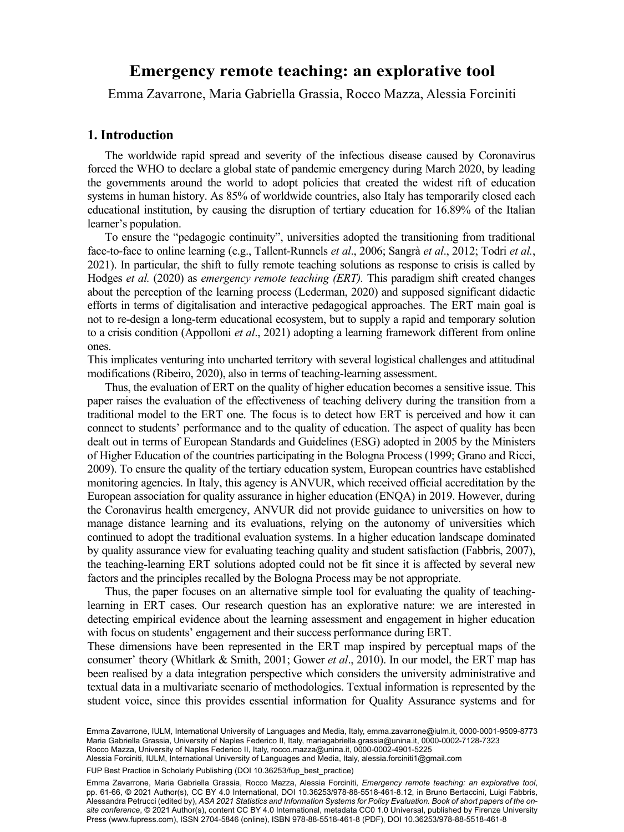# Emergency remate teaching an evolentive teal **Emergency remote teaching: an explorative tool**

Emma Zavarrone, Maria Gabriella Grassia, Rocco Mazza, Alessia Forciniti

## **1. Introduction**

The worldwide rapid spread and severity of the infectious disease caused by Coronavirus forced the WHO to declare a global state of pandemic emergency during March 2020, by leading the governments around the world to adopt policies that created the widest rift of education systems in human history. As 85% of worldwide countries, also Italy has temporarily closed each educational institution, by causing the disruption of tertiary education for 16.89% of the Italian learner's population.

To ensure the "pedagogic continuity", universities adopted the transitioning from traditional face-to-face to online learning (e.g., Tallent-Runnels *et al*., 2006; Sangrà *et al*., 2012; Todri *et al.*, 2021). In particular, the shift to fully remote teaching solutions as response to crisis is called by Hodges *et al.* (2020) as *emergency remote teaching (ERT).* This paradigm shift created changes about the perception of the learning process (Lederman, 2020) and supposed significant didactic efforts in terms of digitalisation and interactive pedagogical approaches. The ERT main goal is not to re-design a long-term educational ecosystem, but to supply a rapid and temporary solution to a crisis condition (Appolloni *et al*., 2021) adopting a learning framework different from online ones.

This implicates venturing into uncharted territory with several logistical challenges and attitudinal modifications (Ribeiro, 2020), also in terms of teaching-learning assessment.

Thus, the evaluation of ERT on the quality of higher education becomes a sensitive issue. This paper raises the evaluation of the effectiveness of teaching delivery during the transition from a traditional model to the ERT one. The focus is to detect how ERT is perceived and how it can connect to students' performance and to the quality of education. The aspect of quality has been dealt out in terms of European Standards and Guidelines (ESG) adopted in 2005 by the Ministers of Higher Education of the countries participating in the Bologna Process (1999; Grano and Ricci, 2009). To ensure the quality of the tertiary education system, European countries have established monitoring agencies. In Italy, this agency is ANVUR, which received official accreditation by the European association for quality assurance in higher education (ENQA) in 2019. However, during the Coronavirus health emergency, ANVUR did not provide guidance to universities on how to manage distance learning and its evaluations, relying on the autonomy of universities which continued to adopt the traditional evaluation systems. In a higher education landscape dominated by quality assurance view for evaluating teaching quality and student satisfaction (Fabbris, 2007), the teaching-learning ERT solutions adopted could not be fit since it is affected by several new factors and the principles recalled by the Bologna Process may be not appropriate.

Thus, the paper focuses on an alternative simple tool for evaluating the quality of teachinglearning in ERT cases. Our research question has an explorative nature: we are interested in detecting empirical evidence about the learning assessment and engagement in higher education with focus on students' engagement and their success performance during ERT.

These dimensions have been represented in the ERT map inspired by perceptual maps of the consumer' theory (Whitlark & Smith, 2001; Gower *et al*., 2010). In our model, the ERT map has been realised by a data integration perspective which considers the university administrative and textual data in a multivariate scenario of methodologies. Textual information is represented by the student voice, since this provides essential information for Quality Assurance systems and for

Emma Zavarrone, IULM, International University of Languages and Media, Italy, [emma.zavarrone@iulm.it](mailto:emma.zavarrone@iulm.it), [0000-0001-9509-8773](https://orcid.org/0000-0001-9509-8773) Maria Gabriella Grassia, University of Naples Federico II, Italy, [mariagabriella.grassia@unina.it](mailto:mariagabriella.grassia@unina.it), [0000-0002-7128-7323](https://orcid.org/0000-0002-7128-7323)

Rocco Mazza, University of Naples Federico II, Italy, [rocco.mazza@unina.it,](mailto:rocco.mazza@unina.it) [0000-0002-4901-5225](https://orcid.org/0000-0002-4901-5225) Alessia Forciniti, IULM, International University of Languages and Media, Italy, [alessia.forciniti1@gmail.com](mailto:alessia.forciniti1@gmail.com)

FUP Best Practice in Scholarly Publishing (DOI [10.36253/fup\\_best\\_practice](https://doi.org/10.36253/fup_best_practice))

Emma Zavarrone, Maria Gabriella Grassia, Rocco Mazza, Alessia Forciniti, *Emergency remote teaching: an explorative tool*, pp. 61-66, © 2021 Author(s), [CC BY 4.0 International,](http://creativecommons.org/licenses/by/4.0/legalcode) DOI [10.36253/978-88-5518-461-8.12,](https://doi.org/10.36253/978-88-5518-461-8.12) in Bruno Bertaccini, Luigi Fabbris, Alessandra Petrucci (edited by), *ASA 2021 Statistics and Information Systems for Policy Evaluation. Book of short papers of the onsite conference*, © 2021 Author(s), content [CC BY 4.0 International](http://creativecommons.org/licenses/by/4.0/legalcode), metadata [CC0 1.0 Universal](https://creativecommons.org/publicdomain/zero/1.0/legalcode), published by Firenze University Press ([www.fupress.com\)](http://www.fupress.com), ISSN 2704-5846 (online), ISBN 978-88-5518-461-8 (PDF), DOI [10.36253/978-88-5518-461-8](https://doi.org/10.36253/978-88-5518-461-8)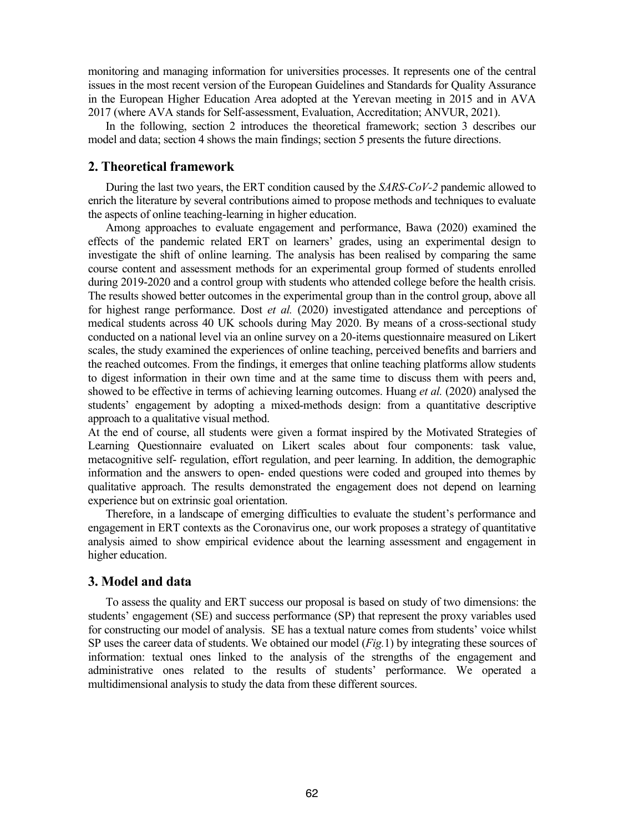monitoring and managing information for universities processes. It represents one of the central issues in the most recent version of the European Guidelines and Standards for Quality Assurance in the European Higher Education Area adopted at the Yerevan meeting in 2015 and in AVA 2017 (where AVA stands for Self-assessment, Evaluation, Accreditation; ANVUR, 2021).

In the following, section 2 introduces the theoretical framework; section 3 describes our model and data; section 4 shows the main findings; section 5 presents the future directions.

## **2. Theoretical framework**

During the last two years, the ERT condition caused by the *SARS-CoV-2* pandemic allowed to enrich the literature by several contributions aimed to propose methods and techniques to evaluate the aspects of online teaching-learning in higher education.

Among approaches to evaluate engagement and performance, Bawa (2020) examined the effects of the pandemic related ERT on learners' grades, using an experimental design to investigate the shift of online learning. The analysis has been realised by comparing the same course content and assessment methods for an experimental group formed of students enrolled during 2019-2020 and a control group with students who attended college before the health crisis. The results showed better outcomes in the experimental group than in the control group, above all for highest range performance. Dost *et al.* (2020) investigated attendance and perceptions of medical students across 40 UK schools during May 2020. By means of a cross-sectional study conducted on a national level via an online survey on a 20-items questionnaire measured on Likert scales, the study examined the experiences of online teaching, perceived benefits and barriers and the reached outcomes. From the findings, it emerges that online teaching platforms allow students to digest information in their own time and at the same time to discuss them with peers and, showed to be effective in terms of achieving learning outcomes. Huang *et al.* (2020) analysed the students' engagement by adopting a mixed-methods design: from a quantitative descriptive approach to a qualitative visual method.

At the end of course, all students were given a format inspired by the Motivated Strategies of Learning Questionnaire evaluated on Likert scales about four components: task value, metacognitive self- regulation, effort regulation, and peer learning. In addition, the demographic information and the answers to open- ended questions were coded and grouped into themes by qualitative approach. The results demonstrated the engagement does not depend on learning experience but on extrinsic goal orientation.

Therefore, in a landscape of emerging difficulties to evaluate the student's performance and engagement in ERT contexts as the Coronavirus one, our work proposes a strategy of quantitative analysis aimed to show empirical evidence about the learning assessment and engagement in higher education.

## **3. Model and data**

To assess the quality and ERT success our proposal is based on study of two dimensions: the students' engagement (SE) and success performance (SP) that represent the proxy variables used for constructing our model of analysis. SE has a textual nature comes from students' voice whilst SP uses the career data of students. We obtained our model (*Fig.*1) by integrating these sources of information: textual ones linked to the analysis of the strengths of the engagement and administrative ones related to the results of students' performance. We operated a multidimensional analysis to study the data from these different sources.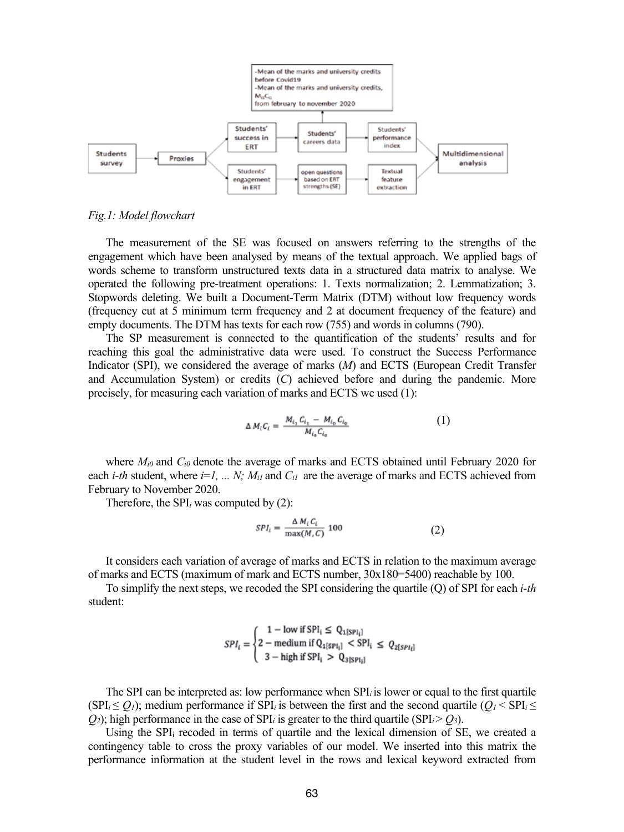

#### *Fig.1: Model flowchart*

The measurement of the SE was focused on answers referring to the strengths of the engagement which have been analysed by means of the textual approach. We applied bags of words scheme to transform unstructured texts data in a structured data matrix to analyse. We operated the following pre-treatment operations: 1. Texts normalization; 2. Lemmatization; 3. Stopwords deleting. We built a Document-Term Matrix (DTM) without low frequency words (frequency cut at 5 minimum term frequency and 2 at document frequency of the feature) and empty documents. The DTM has texts for each row (755) and words in columns (790).

The SP measurement is connected to the quantification of the students' results and for reaching this goal the administrative data were used. To construct the Success Performance Indicator (SPI), we considered the average of marks (*M*) and ECTS (European Credit Transfer and Accumulation System) or credits (*C*) achieved before and during the pandemic. More precisely, for measuring each variation of marks and ECTS we used (1):

$$
\Delta M_i C_i = \frac{M_{i_1} C_{i_1} - M_{i_0} C_{i_0}}{M_{i_0} C_{i_0}} \tag{1}
$$

where  $M_{i0}$  and  $C_{i0}$  denote the average of marks and ECTS obtained until February 2020 for each *i-th* student, where  $i=1, ..., N$ ;  $M_{il}$  and  $C_{il}$  are the average of marks and ECTS achieved from February to November 2020.

Therefore, the SPI*<sup>i</sup>* was computed by (2):

$$
SPI_i = \frac{\Delta M_i C_i}{\max(M, C)} 100 \tag{2}
$$

It considers each variation of average of marks and ECTS in relation to the maximum average of marks and ECTS (maximum of mark and ECTS number, 30x180=5400) reachable by 100.

To simplify the next steps, we recoded the SPI considering the quartile (Q) of SPI for each *i-th* student:

$$
SPI_i = \begin{cases} 1 - \text{low if } SPI_i \le Q_{1\{SPI_i\}} \\ 2 - \text{medium if } Q_{1\{SPI_i\}} < SPI_i \le Q_{2\{SPI_i\}} \\ 3 - \text{high if } SPI_i > Q_{3\{SPI_i\}} \end{cases}
$$

The SPI can be interpreted as: low performance when SPI*i* is lower or equal to the first quartile (SPI<sub>*i*</sub>  $\leq$  *Q<sub>1</sub>*); medium performance if SPI<sub>*i*</sub> is between the first and the second quartile (*O<sub>1</sub>*  $\lt$  SPI<sub>*i*</sub>  $\leq$  $Q_2$ ); high performance in the case of SPI<sub>*i*</sub> is greater to the third quartile (SPI*i* >  $Q_3$ ).

Using the SPIi recoded in terms of quartile and the lexical dimension of SE, we created a contingency table to cross the proxy variables of our model. We inserted into this matrix the performance information at the student level in the rows and lexical keyword extracted from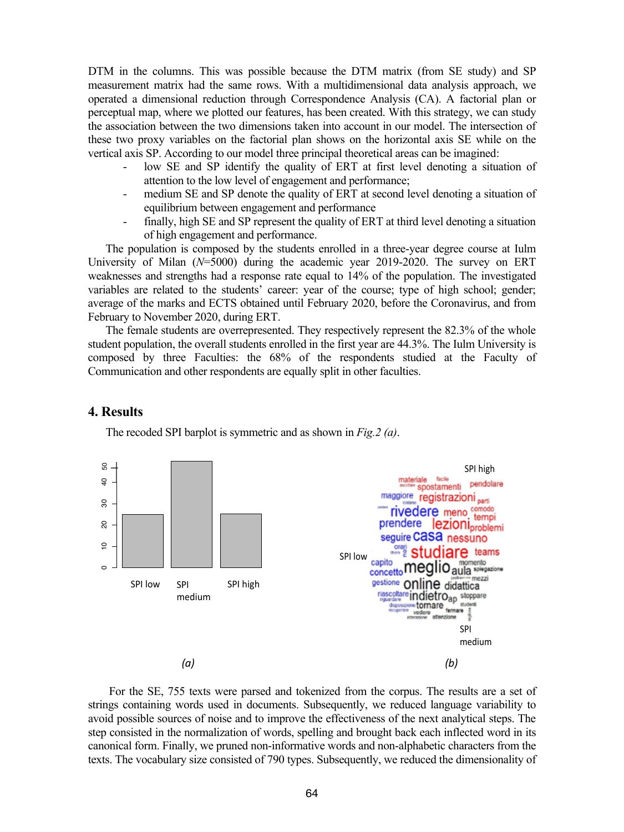DTM in the columns. This was possible because the DTM matrix (from SE study) and SP measurement matrix had the same rows. With a multidimensional data analysis approach, we operated a dimensional reduction through Correspondence Analysis (CA). A factorial plan or perceptual map, where we plotted our features, has been created. With this strategy, we can study the association between the two dimensions taken into account in our model. The intersection of these two proxy variables on the factorial plan shows on the horizontal axis SE while on the vertical axis SP. According to our model three principal theoretical areas can be imagined:

- low SE and SP identify the quality of ERT at first level denoting a situation of attention to the low level of engagement and performance;
- medium SE and SP denote the quality of ERT at second level denoting a situation of equilibrium between engagement and performance
- finally, high SE and SP represent the quality of ERT at third level denoting a situation of high engagement and performance.

The population is composed by the students enrolled in a three-year degree course at Iulm University of Milan (*N*=5000) during the academic year 2019-2020. The survey on ERT weaknesses and strengths had a response rate equal to 14% of the population. The investigated variables are related to the students' career: year of the course; type of high school; gender; average of the marks and ECTS obtained until February 2020, before the Coronavirus, and from February to November 2020, during ERT.

The female students are overrepresented. They respectively represent the 82.3% of the whole student population, the overall students enrolled in the first year are 44.3%. The Iulm University is composed by three Faculties: the 68% of the respondents studied at the Faculty of Communication and other respondents are equally split in other faculties.

## **4. Results**



The recoded SPI barplot is symmetric and as shown in *Fig.2 (a)*.



For the SE, 755 texts were parsed and tokenized from the corpus. The results are a set of strings containing words used in documents. Subsequently, we reduced language variability to avoid possible sources of noise and to improve the effectiveness of the next analytical steps. The step consisted in the normalization of words, spelling and brought back each inflected word in its canonical form. Finally, we pruned non-informative words and non-alphabetic characters from the texts. The vocabulary size consisted of 790 types. Subsequently, we reduced the dimensionality of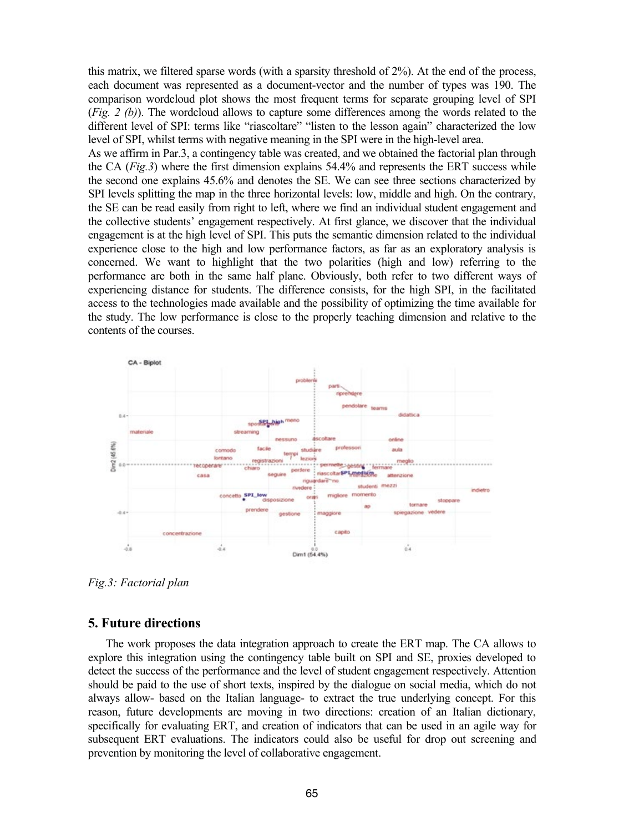this matrix, we filtered sparse words (with a sparsity threshold of 2%). At the end of the process, each document was represented as a document-vector and the number of types was 190. The comparison wordcloud plot shows the most frequent terms for separate grouping level of SPI (*Fig. 2 (b)*). The wordcloud allows to capture some differences among the words related to the different level of SPI: terms like "riascoltare" "listen to the lesson again" characterized the low level of SPI, whilst terms with negative meaning in the SPI were in the high-level area.

As we affirm in Par.3, a contingency table was created, and we obtained the factorial plan through the CA (*Fig.3*) where the first dimension explains 54.4% and represents the ERT success while the second one explains 45.6% and denotes the SE. We can see three sections characterized by SPI levels splitting the map in the three horizontal levels: low, middle and high. On the contrary, the SE can be read easily from right to left, where we find an individual student engagement and the collective students' engagement respectively. At first glance, we discover that the individual engagement is at the high level of SPI. This puts the semantic dimension related to the individual experience close to the high and low performance factors, as far as an exploratory analysis is concerned. We want to highlight that the two polarities (high and low) referring to the performance are both in the same half plane. Obviously, both refer to two different ways of experiencing distance for students. The difference consists, for the high SPI, in the facilitated access to the technologies made available and the possibility of optimizing the time available for the study. The low performance is close to the properly teaching dimension and relative to the contents of the courses.



*Fig.3: Factorial plan* 

## **5. Future directions**

The work proposes the data integration approach to create the ERT map. The CA allows to explore this integration using the contingency table built on SPI and SE, proxies developed to detect the success of the performance and the level of student engagement respectively. Attention should be paid to the use of short texts, inspired by the dialogue on social media, which do not always allow- based on the Italian language- to extract the true underlying concept. For this reason, future developments are moving in two directions: creation of an Italian dictionary, specifically for evaluating ERT, and creation of indicators that can be used in an agile way for subsequent ERT evaluations. The indicators could also be useful for drop out screening and prevention by monitoring the level of collaborative engagement.